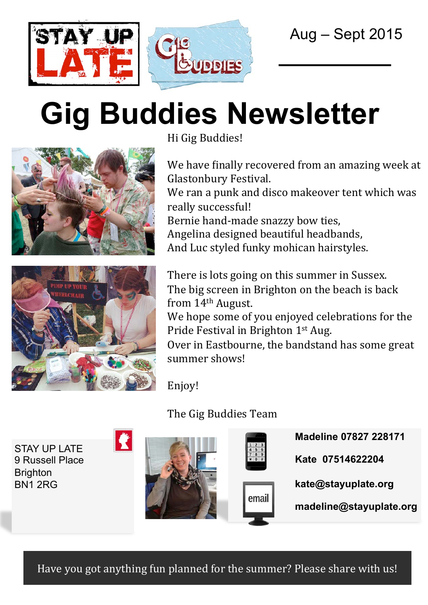

# **Gig Buddies Newsletter**





STAY UP LATE 9 Russell Place

**Brighton** BN1 2RG Hi Gig Buddies!

We have finally recovered from an amazing week at Glastonbury Festival.

We ran a punk and disco makeover tent which was really successful!

Bernie hand-made snazzy bow ties, Angelina designed beautiful headbands,

And Luc styled funky mohican hairstyles.

There is lots going on this summer in Sussex. The big screen in Brighton on the beach is back from  $14<sup>th</sup>$  August.

We hope some of you enjoyed celebrations for the Pride Festival in Brighton  $1<sup>st</sup>$  Aug.

Over in Eastbourne, the bandstand has some great summer shows!

Enjoy! 

#### The Gig Buddies Team



Have you got anything fun planned for the summer? Please share with us!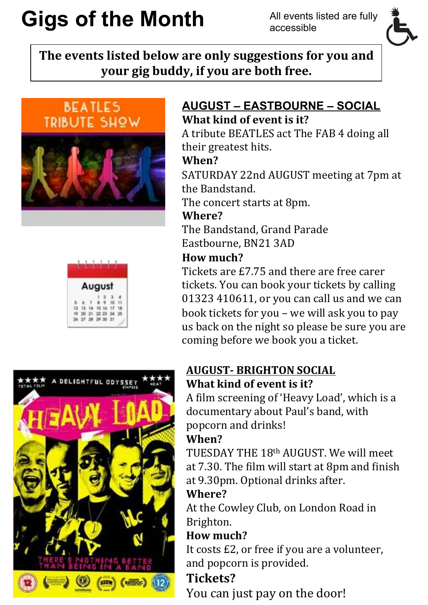## **Gigs of the Month**

All events listed are fully accessible



The events listed below are only suggestions for you and **your gig buddy, if you are both free.** 

#### **BEATLES TRIBUTE SHOW**



|  | August |  |  |
|--|--------|--|--|
|  |        |  |  |
|  |        |  |  |
|  |        |  |  |
|  |        |  |  |
|  |        |  |  |

#### **AUGUST – EASTBOURNE – SOCIAL What kind of event is it?**

A tribute BEATLES act The FAB 4 doing all their greatest hits.

#### **When?**

SATURDAY 22nd AUGUST meeting at 7pm at the Bandstand.

The concert starts at 8pm.

#### **Where?**

The Bandstand, Grand Parade Eastbourne, BN21 3AD

#### **How much?**

Tickets are £7.75 and there are free carer tickets. You can book your tickets by calling  $01323$  410611, or you can call us and we can book tickets for you – we will ask you to pay us back on the night so please be sure you are coming before we book you a ticket.

#### **AUGUST- BRIGHTON SOCIAL What kind of event is it?**

A film screening of 'Heavy Load', which is a documentary about Paul's band, with popcorn and drinks!

#### When?

TUESDAY THE 18<sup>th</sup> AUGUST. We will meet at  $7.30$ . The film will start at  $8$ pm and finish at 9.30pm. Optional drinks after.

#### **Where?**

At the Cowley Club, on London Road in Brighton. 

#### **How much?**

It costs £2, or free if you are a volunteer, and popcorn is provided.

#### Tickets?

You can just pay on the door!

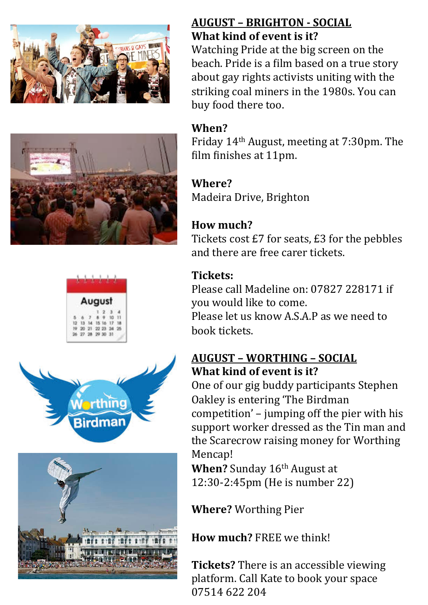









#### **AUGUST - BRIGHTON - SOCIAL What kind of event is it?**

Watching Pride at the big screen on the beach. Pride is a film based on a true story about gay rights activists uniting with the striking coal miners in the 1980s. You can buy food there too.

#### When? Friday  $14<sup>th</sup>$  August, meeting at 7:30pm. The film finishes at  $11$ pm.

**Where?**  Madeira Drive, Brighton

#### **How much?**

Tickets cost  $£7$  for seats,  $£3$  for the pebbles and there are free carer tickets.

#### **Tickets:**

Please call Madeline on: 07827 228171 if you would like to come. Please let us know A.S.A.P as we need to book tickets. 

#### **AUGUST - WORTHING - SOCIAL What kind of event is it?**

One of our gig buddy participants Stephen Oakley is entering 'The Birdman competition' - jumping off the pier with his support worker dressed as the Tin man and the Scarecrow raising money for Worthing Mencap! 

**When?** Sunday 16<sup>th</sup> August at 12:30-2:45pm (He is number 22)

**Where?** Worthing Pier

**How much?** FREE we think!

**Tickets?** There is an accessible viewing platform. Call Kate to book your space 07514 622 204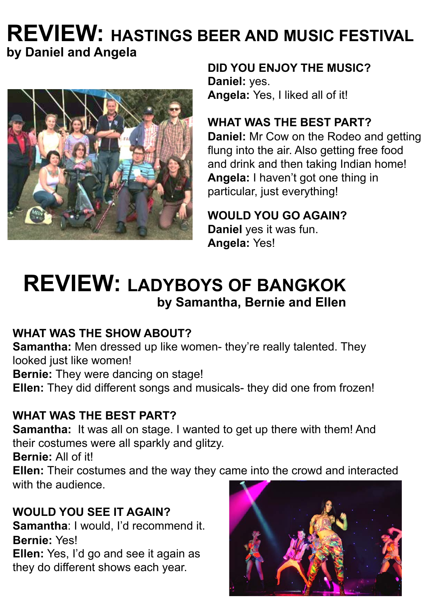## **REVIEW: HASTINGS BEER AND MUSIC FESTIVAL by Daniel and Angela**



**DID YOU ENJOY THE MUSIC? Daniel:** yes. **Angela:** Yes, I liked all of it!

#### **WHAT WAS THE BEST PART?**

**Daniel:** Mr Cow on the Rodeo and getting flung into the air. Also getting free food and drink and then taking Indian home! **Angela:** I haven't got one thing in particular, just everything!

#### **WOULD YOU GO AGAIN?**

**Daniel** yes it was fun. **Angela:** Yes!

### **REVIEW: LADYBOYS OF BANGKOK by Samantha, Bernie and Ellen**

#### **WHAT WAS THE SHOW ABOUT?**

**Samantha:** Men dressed up like women- they're really talented. They looked just like women!

**Bernie:** They were dancing on stage!

**Ellen:** They did different songs and musicals- they did one from frozen!

#### **WHAT WAS THE BEST PART?**

**Samantha:** It was all on stage. I wanted to get up there with them! And their costumes were all sparkly and glitzy.

**Bernie:** All of it!

**Ellen:** Their costumes and the way they came into the crowd and interacted with the audience.

#### **WOULD YOU SEE IT AGAIN?**

**Samantha**: I would, I'd recommend it. **Bernie:** Yes!

**Ellen:** Yes, I'd go and see it again as they do different shows each year.

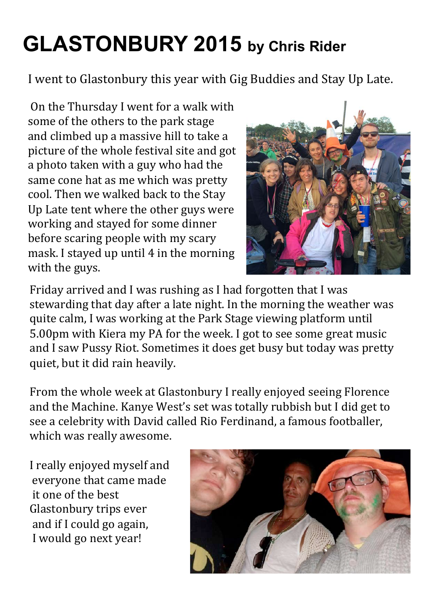## **GLASTONBURY 2015 by Chris Rider**

I went to Glastonbury this year with Gig Buddies and Stay Up Late.

some of the others to the park stage and climbed up a massive hill to take a  $\frac{1}{\sqrt{2}}$ picture of the whole festival site and got On the Thursday I went for a walk with a photo taken with a guy who had the same cone hat as me which was pretty cool. Then we walked back to the Stay Up Late tent where the other guys were working and stayed for some dinner before scaring people with my scary mask. I stayed up until 4 in the morning with the guys.



Friday arrived and I was rushing as I had forgotten that I was stewarding that day after a late night. In the morning the weather was quite calm, I was working at the Park Stage viewing platform until 5.00pm with Kiera my PA for the week. I got to see some great music and I saw Pussy Riot. Sometimes it does get busy but today was pretty quiet, but it did rain heavily.

From the whole week at Glastonbury I really enjoyed seeing Florence and the Machine. Kanye West's set was totally rubbish but I did get to see a celebrity with David called Rio Ferdinand, a famous footballer, which was really awesome.

I really enjoyed myself and everyone that came made it one of the best Glastonbury trips ever and if I could go again, I would go next year!